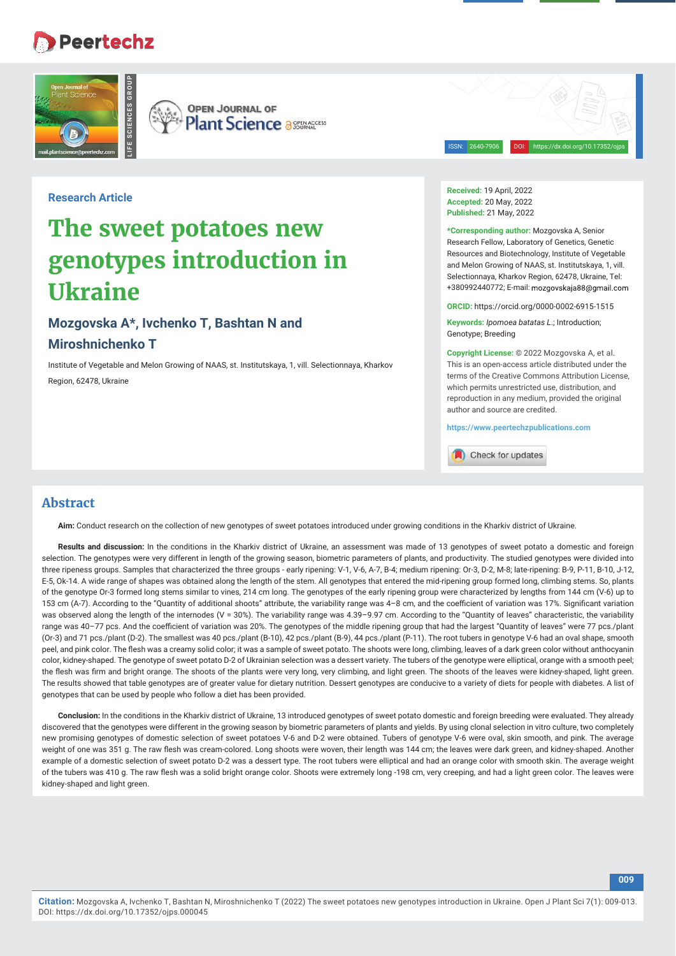## **Peertechz**





**Plant Science a SEERACCESS** 

ISSN: 2640-7906 DOI: https://dx.doi.org/10.17352/ojps

**Research Article**

# **The sweet potatoes new genotypes introduction in Ukraine**

## **Mozgovska A\*, Ivchenko T, Bashtan N and Miroshnichenko T**

Institute of Vegetable and Melon Growing of NAAS, st. Institutskaya, 1, vill. Selectionnaya, Kharkov Region, 62478, Ukraine

**Received:** 19 April, 2022 **Accepted:** 20 May, 2022 **Published:** 21 May, 2022

**\*Corresponding author:** Mozgovska A, Senior Research Fellow, Laboratory of Genetics, Genetic Resources and Biotechnology, Institute of Vegetable and Melon Growing of NAAS, st. Institutskaya, 1, vill. Selectionnaya, Kharkov Region, 62478, Ukraine, Tel: +380992440772; E-mail:

**ORCID:** https://orcid.org/0000-0002-6915-1515

**Keywords:** *Ipomoea batatas L*.; Introduction; Genotype; Breeding

**Copyright License:** © 2022 Mozgovska A, et al. This is an open-access article distributed under the terms of the Creative Commons Attribution License, which permits unrestricted use, distribution, and reproduction in any medium, provided the original author and source are credited.

**009**

**https://www.peertechzpublications.com**

Check for updates

## **Abstract**

**Aim:** Conduct research on the collection of new genotypes of sweet potatoes introduced under growing conditions in the Kharkiv district of Ukraine.

Results and discussion: In the conditions in the Kharkiv district of Ukraine, an assessment was made of 13 genotypes of sweet potato a domestic and foreign selection. The genotypes were very different in length of the growing season, biometric parameters of plants, and productivity. The studied genotypes were divided into three ripeness groups. Samples that characterized the three groups - early ripening: V-1, V-6, А-7, В-4; medium ripening: Оr-3, D-2, М-8; late-ripening: B-9, P-11, B-10, J-12, Е-5, Оk-14. A wide range of shapes was obtained along the length of the stem. All genotypes that entered the mid-ripening group formed long, climbing stems. So, plants of the genotype Or-3 formed long stems similar to vines, 214 cm long. The genotypes of the early ripening group were characterized by lengths from 144 cm (V-6) up to 153 cm (A-7). According to the "Quantity of additional shoots" attribute, the variability range was 4-8 cm, and the coefficient of variation was 17%. Significant variation was observed along the length of the internodes (V = 30%). The variability range was 4.39-9.97 cm. According to the "Quantity of leaves" characteristic, the variability range was 40-77 pcs. And the coefficient of variation was 20%. The genotypes of the middle ripening group that had the largest "Quantity of leaves" were 77 pcs./plant (Оr-3) and 71 pcs./plant (D-2). The smallest was 40 pcs./plant (B-10), 42 pcs./plant (B-9), 44 pcs./plant (P-11). The root tubers in genotype V-6 had an oval shape, smooth peel, and pink color. The flesh was a creamy solid color; it was a sample of sweet potato. The shoots were long, climbing, leaves of a dark green color without anthocyanin color, kidney-shaped. The genotype of sweet potato D-2 of Ukrainian selection was a dessert variety. The tubers of the genotype were elliptical, orange with a smooth peel; the flesh was firm and bright orange. The shoots of the plants were very long, very climbing, and light green. The shoots of the leaves were kidney-shaped, light green. The results showed that table genotypes are of greater value for dietary nutrition. Dessert genotypes are conducive to a variety of diets for people with diabetes. A list of genotypes that can be used by people who follow a diet has been provided.

**Conclusion:** In the conditions in the Kharkiv district of Ukraine, 13 introduced genotypes of sweet potato domestic and foreign breeding were evaluated. They already discovered that the genotypes were different in the growing season by biometric parameters of plants and yields. By using clonal selection in vitro culture, two completely new promising genotypes of domestic selection of sweet potatoes V-6 and D-2 were obtained. Tubers of genotype V-6 were oval, skin smooth, and pink. The average weight of one was 351 g. The raw flesh was cream-colored. Long shoots were woven, their length was 144 cm; the leaves were dark green, and kidney-shaped. Another example of a domestic selection of sweet potato D-2 was a dessert type. The root tubers were elliptical and had an orange color with smooth skin. The average weight of the tubers was 410 g. The raw flesh was a solid bright orange color. Shoots were extremely long -198 cm, very creeping, and had a light green color. The leaves were kidney-shaped and light green.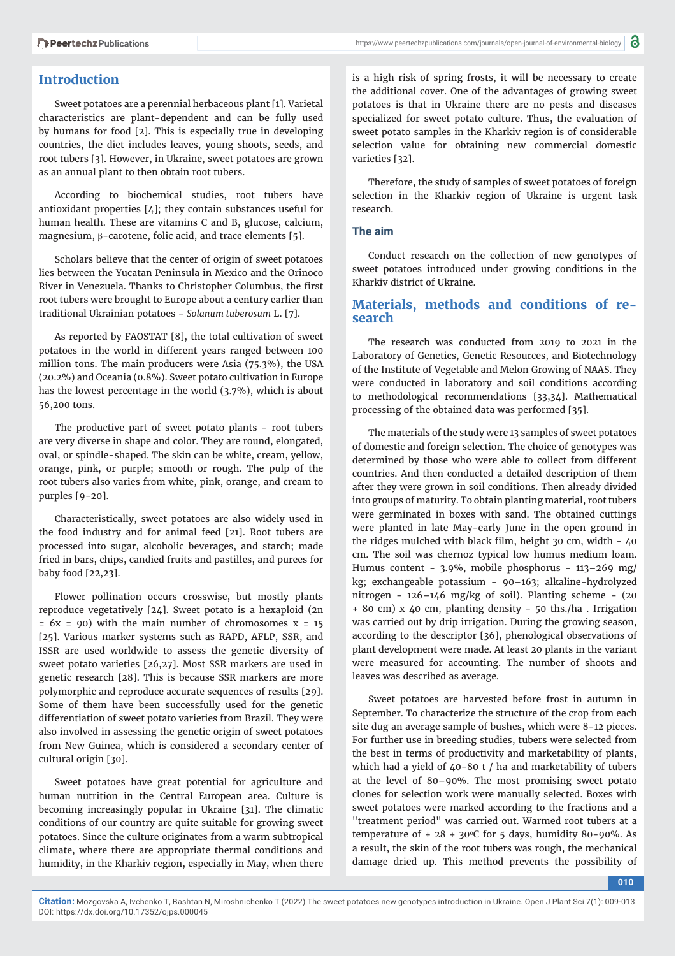## **Introduction**

Sweet potatoes are a perennial herbaceous plant [1]. Varietal characteristics are plant-dependent and can be fully used by humans for food [2]. This is especially true in developing countries, the diet includes leaves, young shoots, seeds, and root tubers [3]. However, in Ukraine, sweet potatoes are grown as an annual plant to then obtain root tubers.

According to biochemical studies, root tubers have antioxidant properties [4]; they contain substances useful for human health. These are vitamins C and B, glucose, calcium, magnesium,  $\beta$ -carotene, folic acid, and trace elements [5].

Scholars believe that the center of origin of sweet potatoes lies between the Yucatan Peninsula in Mexico and the Orinoco River in Venezuela. Thanks to Christopher Columbus, the first root tubers were brought to Europe about a century earlier than traditional Ukrainian potatoes - *Solanum tuberosum* L. [7].

As reported by FAOSTAT [8], the total cultivation of sweet potatoes in the world in different years ranged between 100 million tons. The main producers were Asia (75.3%), the USA (20.2%) and Oceania (0.8%). Sweet potato cultivation in Europe has the lowest percentage in the world (3.7%), which is about 56,200 tons.

The productive part of sweet potato plants - root tubers are very diverse in shape and color. They are round, elongated, oval, or spindle-shaped. The skin can be white, cream, yellow, orange, pink, or purple; smooth or rough. The pulp of the root tubers also varies from white, pink, orange, and cream to purples [9-20].

Characteristically, sweet potatoes are also widely used in the food industry and for animal feed [21]. Root tubers are processed into sugar, alcoholic beverages, and starch; made fried in bars, chips, candied fruits and pastilles, and purees for baby food [22,23].

Flower pollination occurs crosswise, but mostly plants reproduce vegetatively [24]. Sweet potato is a hexaploid (2n  $= 6x = 90$ ) with the main number of chromosomes  $x = 15$ [25]. Various marker systems such as RAPD, AFLP, SSR, and ISSR are used worldwide to assess the genetic diversity of sweet potato varieties [26,27]. Most SSR markers are used in genetic research [28]. This is because SSR markers are more polymorphic and reproduce accurate sequences of results [29]. Some of them have been successfully used for the genetic differentiation of sweet potato varieties from Brazil. They were also involved in assessing the genetic origin of sweet potatoes from New Guinea, which is considered a secondary center of cultural origin [30].

Sweet potatoes have great potential for agriculture and human nutrition in the Central European area. Culture is becoming increasingly popular in Ukraine [31]. The climatic conditions of our country are quite suitable for growing sweet potatoes. Since the culture originates from a warm subtropical climate, where there are appropriate thermal conditions and humidity, in the Kharkiv region, especially in May, when there

is a high risk of spring frosts, it will be necessary to create the additional cover. One of the advantages of growing sweet potatoes is that in Ukraine there are no pests and diseases specialized for sweet potato culture. Thus, the evaluation of sweet potato samples in the Kharkiv region is of considerable selection value for obtaining new commercial domestic varieties [32].

Therefore, the study of samples of sweet potatoes of foreign selection in the Kharkiv region of Ukraine is urgent task research.

#### **The aim**

Conduct research on the collection of new genotypes of sweet potatoes introduced under growing conditions in the Kharkiv district of Ukraine.

## **Materials, methods and conditions of research**

The research was conducted from 2019 to 2021 in the Laboratory of Genetics, Genetic Resources, and Biotechnology of the Institute of Vegetable and Melon Growing of NAAS. They were conducted in laboratory and soil conditions according to methodological recommendations [33,34]. Mathematical processing of the obtained data was performed [35].

The materials of the study were 13 samples of sweet potatoes of domestic and foreign selection. The choice of genotypes was determined by those who were able to collect from different countries. And then conducted a detailed description of them after they were grown in soil conditions. Then already divided into groups of maturity. To obtain planting material, root tubers were germinated in boxes with sand. The obtained cuttings were planted in late May-early June in the open ground in the ridges mulched with black film, height 30 cm, width  $-40$ cm. The soil was chernoz typical low humus medium loam. Humus content - 3.9%, mobile phosphorus - 113–269 mg/ kg; exchangeable potassium - 90–163; alkaline-hydrolyzed nitrogen - 126–146 mg/kg of soil). Planting scheme - (20 + 80 cm) x 40 cm, planting density - 50 ths./ha . Irrigation was carried out by drip irrigation. During the growing season, according to the descriptor [36], phenological observations of plant development were made. At least 20 plants in the variant were measured for accounting. The number of shoots and leaves was described as average.

Sweet potatoes are harvested before frost in autumn in September. To characterize the structure of the crop from each site dug an average sample of bushes, which were 8-12 pieces. For further use in breeding studies, tubers were selected from the best in terms of productivity and marketability of plants, which had a yield of 40-80 t / ha and marketability of tubers at the level of 80–90%. The most promising sweet potato clones for selection work were manually selected. Boxes with sweet potatoes were marked according to the fractions and a "treatment period" was carried out. Warmed root tubers at a temperature of  $+ 28 + 30^{\circ}$ C for 5 days, humidity 80-90%. As a result, the skin of the root tubers was rough, the mechanical damage dried up. This method prevents the possibility of

**010**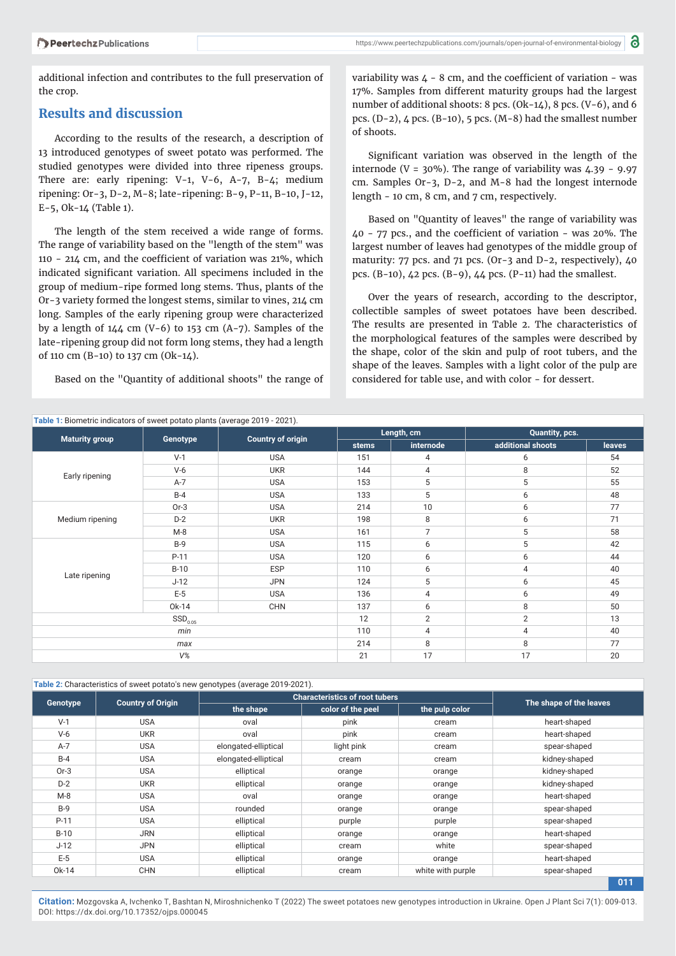additional infection and contributes to the full preservation of the crop.

## **Results and discussion**

According to the results of the research, a description of 13 introduced genotypes of sweet potato was performed. The studied genotypes were divided into three ripeness groups. There are: early ripening: V-1, V-6, A-7, B-4; medium ripening: Оr-3, D-2, М-8; late-ripening: B-9, P-11, B-10, J-12, Е-5, Оk-14 (Table 1).

The length of the stem received a wide range of forms. The range of variability based on the "length of the stem" was 110 - 214 cm, and the coefficient of variation was  $21\%$ , which indicated significant variation. All specimens included in the group of medium-ripe formed long stems. Thus, plants of the Or-3 variety formed the longest stems, similar to vines, 214 cm long. Samples of the early ripening group were characterized by a length of  $144 \text{ cm}$  (V-6) to  $153 \text{ cm}$  (A-7). Samples of the late-ripening group did not form long stems, they had a length of 110 cm (B-10) to 137 cm (Ok-14).

Based on the "Quantity of additional shoots" the range of

variability was  $4 - 8$  cm, and the coefficient of variation - was 17%. Samples from different maturity groups had the largest number of additional shoots: 8 pcs. (Ok-14), 8 pcs. (V-6), and 6 pcs. (D-2), 4 pcs. (B-10), 5 pcs. (M-8) had the smallest number of shoots.

Significant variation was observed in the length of the internode (V =  $30\%$ ). The range of variability was  $4.39 - 9.97$ cm. Samples Or-3, D-2, and M-8 had the longest internode length - 10 cm, 8 cm, and 7 cm, respectively.

Based on "Quantity of leaves" the range of variability was  $40 - 77$  pcs., and the coefficient of variation - was  $20\%$ . The largest number of leaves had genotypes of the middle group of maturity: 77 pcs. and 71 pcs. (Or-3 and D-2, respectively), 40 pcs. (B-10), 42 pcs. (B-9), 44 pcs. (P-11) had the smallest.

Over the years of research, according to the descriptor, collectible samples of sweet potatoes have been described. The results are presented in Table 2. The characteristics of the morphological features of the samples were described by the shape, color of the skin and pulp of root tubers, and the shape of the leaves. Samples with a light color of the pulp are considered for table use, and with color - for dessert.

| Table 1: Biometric indicators of sweet potato plants (average 2019 - 2021). |          |                          |            |                |                   |               |  |
|-----------------------------------------------------------------------------|----------|--------------------------|------------|----------------|-------------------|---------------|--|
| <b>Maturity group</b>                                                       | Genotype | <b>Country of origin</b> | Length, cm |                | Quantity, pcs.    |               |  |
|                                                                             |          |                          | stems      | internode      | additional shoots | <b>leaves</b> |  |
| Early ripening                                                              | $V-1$    | <b>USA</b>               | 151        | 4              | 6                 | 54            |  |
|                                                                             | $V-6$    | <b>UKR</b>               | 144        | 4              | 8                 | 52            |  |
|                                                                             | $A-7$    | <b>USA</b>               | 153        | 5              | 5                 | 55            |  |
|                                                                             | $B-4$    | <b>USA</b>               | 133        | 5              | 6                 | 48            |  |
| Medium ripening                                                             | $Or-3$   | <b>USA</b>               | 214        | 10             | 6                 | 77            |  |
|                                                                             | $D-2$    | <b>UKR</b>               | 198        | 8              | 6                 | 71            |  |
|                                                                             | M-8      | <b>USA</b>               | 161        | $\overline{7}$ | 5                 | 58            |  |
| Late ripening                                                               | $B-9$    | <b>USA</b>               | 115        | 6              | 5                 | 42            |  |
|                                                                             | P-11     | <b>USA</b>               | 120        | 6              | 6                 | 44            |  |
|                                                                             | $B-10$   | <b>ESP</b>               | 110        | 6              | 4                 | 40            |  |
|                                                                             | $J-12$   | <b>JPN</b>               | 124        | 5              | 6                 | 45            |  |
|                                                                             | $E-5$    | <b>USA</b>               | 136        | 4              | 6                 | 49            |  |
|                                                                             | Ok-14    | <b>CHN</b>               | 137        | 6              | 8                 | 50            |  |
| $\text{SSD}_{0.05}$                                                         |          |                          | 12         | $\mathbf{2}$   | $\mathbf{2}$      | 13            |  |
| min                                                                         |          |                          | 110        | 4              | 4                 | 40            |  |
| max                                                                         |          |                          | 214        | 8              | 8                 | 77            |  |
| $V\%$                                                                       |          |                          | 21         | 17             | 17                | 20            |  |

#### **Table 2:** Characteristics of sweet potato's new genotypes (average 2019-2021).

|          |                          | <b>Characteristics of root tubers</b> |                   |                   |                         |
|----------|--------------------------|---------------------------------------|-------------------|-------------------|-------------------------|
| Genotype | <b>Country of Origin</b> | the shape                             | color of the peel | the pulp color    | The shape of the leaves |
| $V-1$    | <b>USA</b>               | oval                                  | pink              | cream             | heart-shaped            |
| $V-6$    | <b>UKR</b>               | oval                                  | pink              | cream             | heart-shaped            |
| $A-7$    | <b>USA</b>               | elongated-elliptical                  | light pink        | cream             | spear-shaped            |
| $B-4$    | <b>USA</b>               | elongated-elliptical                  | cream             | cream             | kidney-shaped           |
| $Or-3$   | <b>USA</b>               | elliptical                            | orange            | orange            | kidney-shaped           |
| $D-2$    | <b>UKR</b>               | elliptical                            | orange            | orange            | kidney-shaped           |
| $M-8$    | <b>USA</b>               | oval                                  | orange            | orange            | heart-shaped            |
| $B-9$    | <b>USA</b>               | rounded                               | orange            | orange            | spear-shaped            |
| $P-11$   | <b>USA</b>               | elliptical                            | purple            | purple            | spear-shaped            |
| $B-10$   | <b>JRN</b>               | elliptical                            | orange            | orange            | heart-shaped            |
| $J-12$   | <b>JPN</b>               | elliptical                            | cream             | white             | spear-shaped            |
| $E-5$    | <b>USA</b>               | elliptical                            | orange            | orange            | heart-shaped            |
| Ok-14    | <b>CHN</b>               | elliptical                            | cream             | white with purple | spear-shaped            |
|          |                          |                                       |                   |                   | 011                     |

**Citation:** Mozgovska A, Ivchenko T, Bashtan N, Miroshnichenko T (2022) The sweet potatoes new genotypes introduction in Ukraine. Open J Plant Sci 7(1): 009-013. DOI: https://dx.doi.org/10.17352/ojps.000045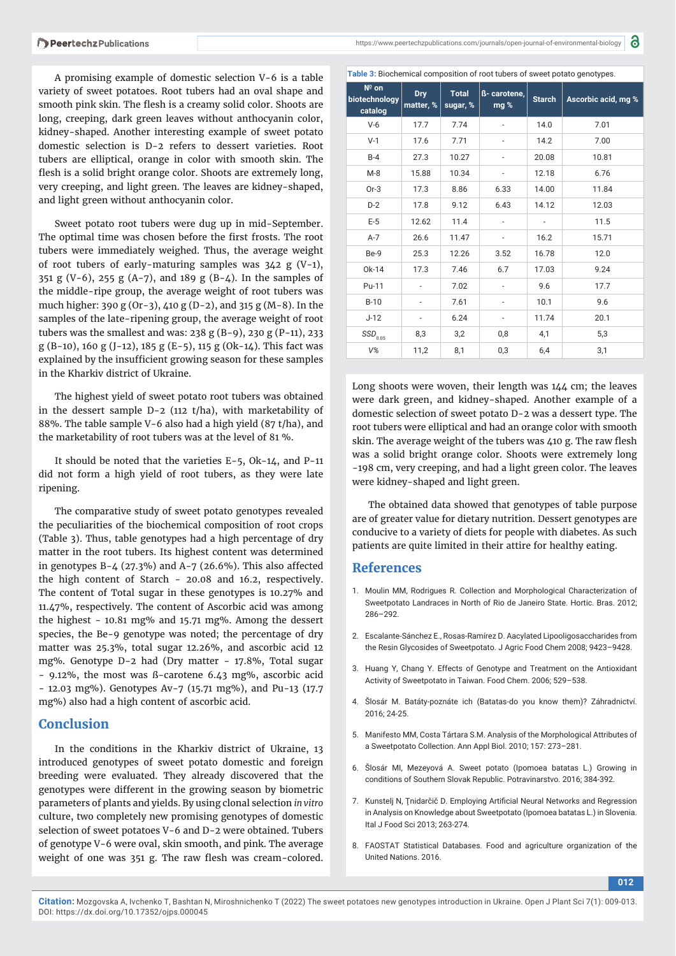A promising example of domestic selection V-6 is a table variety of sweet potatoes. Root tubers had an oval shape and smooth pink skin. The flesh is a creamy solid color. Shoots are long, creeping, dark green leaves without anthocyanin color, kidney-shaped. Another interesting example of sweet potato domestic selection is D-2 refers to dessert varieties. Root tubers are elliptical, orange in color with smooth skin. The flesh is a solid bright orange color. Shoots are extremely long, very creeping, and light green. The leaves are kidney-shaped, and light green without anthocyanin color.

Sweet potato root tubers were dug up in mid-September. The optimal time was chosen before the first frosts. The root tubers were immediately weighed. Thus, the average weight of root tubers of early-maturing samples was  $342$  g (V-1), 351 g (V-6), 255 g (A-7), and 189 g (B-4). In the samples of the middle-ripe group, the average weight of root tubers was much higher: 390 g (Or-3), 410 g (D-2), and 315 g (M-8). In the samples of the late-ripening group, the average weight of root tubers was the smallest and was: 238 g (B-9), 230 g (P-11), 233 g (B-10), 160 g (J-12), 185 g (Е-5), 115 g (Ok-14). This fact was explained by the insufficient growing season for these samples in the Kharkiv district of Ukraine.

The highest yield of sweet potato root tubers was obtained in the dessert sample D-2 (112 t/ha), with marketability of 88%. The table sample V-6 also had a high yield (87 t/ha), and the marketability of root tubers was at the level of 81 %.

It should be noted that the varieties Е-5, Ok-14, and P-11 did not form a high yield of root tubers, as they were late ripening.

The comparative study of sweet potato genotypes revealed the peculiarities of the biochemical composition of root crops (Table 3). Thus, table genotypes had a high percentage of dry matter in the root tubers. Its highest content was determined in genotypes B-4 (27.3%) and A-7 (26.6%). This also affected the high content of Starch - 20.08 and 16.2, respectively. The content of Total sugar in these genotypes is 10.27% and 11.47%, respectively. The content of Ascorbic acid was among the highest - 10.81 mg% and 15.71 mg%. Among the dessert species, the Be-9 genotype was noted; the percentage of dry matter was 25.3%, total sugar 12.26%, and ascorbic acid 12 mg%. Genotype D-2 had (Dry matter - 17.8%, Total sugar - 9.12%, the most was ß-carotene 6.43 mg%, ascorbic acid - 12.03 mg%). Genotypes Av-7 (15.71 mg%), and Pu-13 (17.7 mg%) also had a high content of ascorbic acid.

## **Conclusion**

In the conditions in the Kharkiv district of Ukraine, 13 introduced genotypes of sweet potato domestic and foreign breeding were evaluated. They already discovered that the genotypes were different in the growing season by biometric parameters of plants and yields. By using clonal selection *in vitro* culture, two completely new promising genotypes of domestic selection of sweet potatoes V-6 and D-2 were obtained. Tubers of genotype V-6 were oval, skin smooth, and pink. The average weight of one was 351 g. The raw flesh was cream-colored.

a

**Table 3:** Biochemical composition of root tubers of sweet potato genotypes.

| $N^{\circ}$ on<br>biotechnology<br>catalog | <b>Dry</b><br>matter, % | <b>Total</b><br>sugar, % | ß- carotene,<br>mg %     | <b>Starch</b> | Ascorbic acid, mg % |
|--------------------------------------------|-------------------------|--------------------------|--------------------------|---------------|---------------------|
| $V-6$                                      | 17.7                    | 7.74                     | $\overline{\phantom{0}}$ | 14.0          | 7.01                |
| $V-1$                                      | 17.6                    | 7.71                     | -                        | 14.2          | 7.00                |
| $B-4$                                      | 27.3                    | 10.27                    | $\overline{\phantom{0}}$ | 20.08         | 10.81               |
| $M-8$                                      | 15.88                   | 10.34                    | $\overline{\phantom{0}}$ | 12.18         | 6.76                |
| $Or-3$                                     | 17.3                    | 8.86                     | 6.33                     | 14.00         | 11.84               |
| $D-2$                                      | 17.8                    | 9.12                     | 6.43                     | 14.12         | 12.03               |
| $E-5$                                      | 12.62                   | 11.4                     |                          |               | 11.5                |
| $A-7$                                      | 26.6                    | 11.47                    | $\overline{\phantom{0}}$ | 16.2          | 15.71               |
| Be-9                                       | 25.3                    | 12.26                    | 3.52                     | 16.78         | 12.0                |
| Ok-14                                      | 17.3                    | 7.46                     | 6.7                      | 17.03         | 9.24                |
| Pu-11                                      |                         | 7.02                     |                          | 9.6           | 17.7                |
| $B-10$                                     |                         | 7.61                     |                          | 10.1          | 9.6                 |
| $J-12$                                     | -                       | 6.24                     | $\overline{\phantom{0}}$ | 11.74         | 20.1                |
| $\textit{SSD}_{0.05}$                      | 8,3                     | 3,2                      | 0,8                      | 4,1           | 5,3                 |
| $V\%$                                      | 11,2                    | 8,1                      | 0,3                      | 6,4           | 3,1                 |

Long shoots were woven, their length was 144 cm; the leaves were dark green, and kidney-shaped. Another example of a domestic selection of sweet potato D-2 was a dessert type. The root tubers were elliptical and had an orange color with smooth skin. The average weight of the tubers was 410 g. The raw flesh was a solid bright orange color. Shoots were extremely long -198 cm, very creeping, and had a light green color. The leaves were kidney-shaped and light green.

The obtained data showed that genotypes of table purpose are of greater value for dietary nutrition. Dessert genotypes are conducive to a variety of diets for people with diabetes. As such patients are quite limited in their attire for healthy eating.

## **References**

- 1. Moulin MM, Rodrigues R. Collection and Morphological Characterization of Sweetpotato Landraces in North of Rio de Janeiro State. Hortic. Bras. 2012; 286–292.
- 2. Escalante-Sánchez E., Rosas-Ramírez D. Aacylated Lipooligosaccharides from the Resin Glycosides of Sweetpotato. J Agric Food Chem 2008; 9423–9428.
- 3. Huang Y, Chang Y. Effects of Genotype and Treatment on the Antioxidant Activity of Sweetpotato in Taiwan. Food Chem. 2006; 529–538.
- 4. Šlosár M. Batáty-poznáte ich (Batatas-do you know them)? Záhradnictví. 2016; 24-25.
- 5. Manifesto MM, Costa Tártara S.M. Analysis of the Morphological Attributes of a Sweetpotato Collection. Ann Appl Biol. 2010; 157: 273–281.
- 6. Šlosár MI, Mezeyová A. Sweet potato (Ipomoea batatas L.) Growing in conditions of Southern Slovak Republic. Potravinarstvo. 2016; 384-392.
- 7. Kunstelj N, Ţnidarčič D. Employing Artificial Neural Networks and Regression in Analysis on Knowledge about Sweetpotato (Ipomoea batatas L.) in Slovenia. Ital J Food Sci 2013; 263-274.
- 8. FAOSTAT Statistical Databases. Food and agriculture organization of the United Nations. 2016.

**012**

**Citation:** Mozgovska A, Ivchenko T, Bashtan N, Miroshnichenko T (2022) The sweet potatoes new genotypes introduction in Ukraine. Open J Plant Sci 7(1): 009-013. DOI: https://dx.doi.org/10.17352/ojps.000045